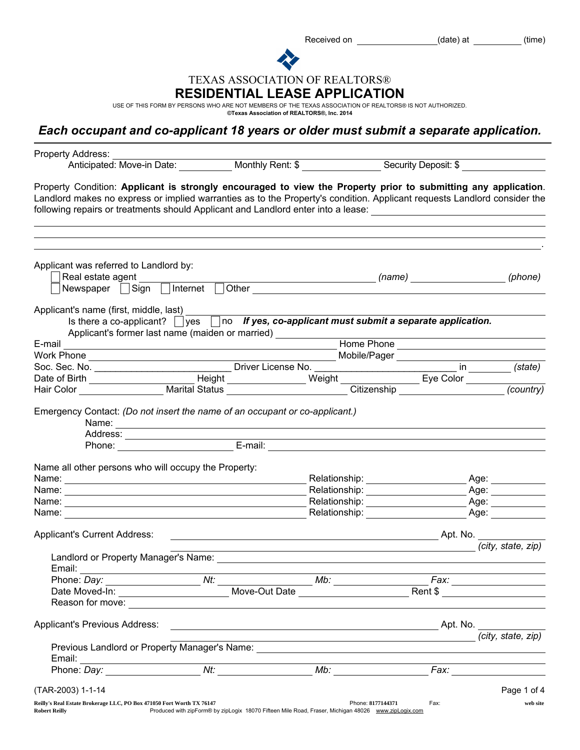Received on \_\_\_\_\_\_\_\_\_\_\_\_\_\_\_\_\_\_\_\_\_\_\_(date) at \_\_\_\_\_\_\_\_\_\_\_(time)

TEXAS ASSOCIATION OF REALTORS®

## RESIDENTIAL LEASE APPLICATION

USE OF THIS FORM BY PERSONS WHO ARE NOT MEMBERS OF THE TEXAS ASSOCIATION OF REALTORS® IS NOT AUTHORIZED.<br>©Texas Association of **REALTORS®, Inc. 2014** 

## *Each occupant and co-applicant 18 years or older must submit a separate application.*

| Property Address:                                                                                                                                                                                                                                                                                                                                            | Anticipated: Move-in Date: Monthly Rent: \$ Security Deposit: \$                                                                                                                                                              |                                                                                                                       |                                                                                |                                                                                                                                                                                                                                |
|--------------------------------------------------------------------------------------------------------------------------------------------------------------------------------------------------------------------------------------------------------------------------------------------------------------------------------------------------------------|-------------------------------------------------------------------------------------------------------------------------------------------------------------------------------------------------------------------------------|-----------------------------------------------------------------------------------------------------------------------|--------------------------------------------------------------------------------|--------------------------------------------------------------------------------------------------------------------------------------------------------------------------------------------------------------------------------|
| Property Condition: Applicant is strongly encouraged to view the Property prior to submitting any application.<br>Landlord makes no express or implied warranties as to the Property's condition. Applicant requests Landlord consider the<br>following repairs or treatments should Applicant and Landlord enter into a lease: ____________________________ |                                                                                                                                                                                                                               |                                                                                                                       |                                                                                |                                                                                                                                                                                                                                |
| Applicant was referred to Landlord by:<br>Real estate agent                                                                                                                                                                                                                                                                                                  |                                                                                                                                                                                                                               |                                                                                                                       | _______________________________(name)    ______________________________(phone) |                                                                                                                                                                                                                                |
| Newspaper Sign Internet Other                                                                                                                                                                                                                                                                                                                                |                                                                                                                                                                                                                               |                                                                                                                       |                                                                                |                                                                                                                                                                                                                                |
| Applicant's name (first, middle, last)                                                                                                                                                                                                                                                                                                                       | Is there a co-applicant? $\Box$ yes $\Box$ no If yes, co-applicant must submit a separate application.<br>Applicant's former last name (maiden or married) _______________________________                                    |                                                                                                                       |                                                                                |                                                                                                                                                                                                                                |
| E-mail                                                                                                                                                                                                                                                                                                                                                       | <b>Mome Phone</b> Phone <b>Constant Construction Construction</b> Home Phone <b>Construction Construction Construction Construction Construction Construction Construction Construction Construction Construction Cons</b>    |                                                                                                                       |                                                                                |                                                                                                                                                                                                                                |
|                                                                                                                                                                                                                                                                                                                                                              |                                                                                                                                                                                                                               |                                                                                                                       |                                                                                |                                                                                                                                                                                                                                |
|                                                                                                                                                                                                                                                                                                                                                              |                                                                                                                                                                                                                               |                                                                                                                       |                                                                                |                                                                                                                                                                                                                                |
|                                                                                                                                                                                                                                                                                                                                                              |                                                                                                                                                                                                                               |                                                                                                                       |                                                                                |                                                                                                                                                                                                                                |
| Hair Color Marital Status Citizenship                                                                                                                                                                                                                                                                                                                        |                                                                                                                                                                                                                               |                                                                                                                       |                                                                                | (country)                                                                                                                                                                                                                      |
|                                                                                                                                                                                                                                                                                                                                                              | Name: Name and the second contract of the second contract of the second contract of the second contract of the second contract of the second contract of the second contract of the second contract of the second contract of |                                                                                                                       |                                                                                |                                                                                                                                                                                                                                |
| Name all other persons who will occupy the Property:                                                                                                                                                                                                                                                                                                         |                                                                                                                                                                                                                               |                                                                                                                       |                                                                                |                                                                                                                                                                                                                                |
| Name: Name: Name: Name: Name: Name: Name: Name: Name: Name: Name: Name: Name: Name: Name: Name: Name: Name: Name: Name: Name: Name: Name: Name: Name: Name: Name: Name: Name: Name: Name: Name: Name: Name: Name: Name: Name:                                                                                                                                |                                                                                                                                                                                                                               |                                                                                                                       |                                                                                | Age: ___________                                                                                                                                                                                                               |
|                                                                                                                                                                                                                                                                                                                                                              |                                                                                                                                                                                                                               |                                                                                                                       |                                                                                |                                                                                                                                                                                                                                |
|                                                                                                                                                                                                                                                                                                                                                              |                                                                                                                                                                                                                               |                                                                                                                       |                                                                                |                                                                                                                                                                                                                                |
| Name: <u>___________________________________</u>                                                                                                                                                                                                                                                                                                             |                                                                                                                                                                                                                               |                                                                                                                       | Relationship: Age: Age:                                                        |                                                                                                                                                                                                                                |
| Applicant's Current Address:                                                                                                                                                                                                                                                                                                                                 |                                                                                                                                                                                                                               |                                                                                                                       |                                                                                |                                                                                                                                                                                                                                |
|                                                                                                                                                                                                                                                                                                                                                              |                                                                                                                                                                                                                               |                                                                                                                       |                                                                                | (city, state, zip)                                                                                                                                                                                                             |
| Landlord or Property Manager's Name: <b>Example 2018</b> 2019 12:30 2019 12:30 2019 12:30 2019 12:30 2019 12:30 2019 1<br>Email:                                                                                                                                                                                                                             |                                                                                                                                                                                                                               |                                                                                                                       |                                                                                |                                                                                                                                                                                                                                |
| Phone: Day:<br><u> 1990 - Johann Barbara, martxa eta politikar</u>                                                                                                                                                                                                                                                                                           |                                                                                                                                                                                                                               |                                                                                                                       |                                                                                | Fax: ________________________                                                                                                                                                                                                  |
|                                                                                                                                                                                                                                                                                                                                                              | Move-Out Date                                                                                                                                                                                                                 |                                                                                                                       | Rent \$                                                                        | <u> 1989 - Jan Barbara Barbara, prima prima prima prima prima prima prima prima prima prima prima prima prima pri</u>                                                                                                          |
| Reason for move: The contract of the contract of the contract of the contract of the contract of the contract of the contract of the contract of the contract of the contract of the contract of the contract of the contract                                                                                                                                |                                                                                                                                                                                                                               |                                                                                                                       |                                                                                |                                                                                                                                                                                                                                |
| Applicant's Previous Address:                                                                                                                                                                                                                                                                                                                                | <u> 1989 - Johann Barn, fransk politik fotograf (d. 1989)</u>                                                                                                                                                                 |                                                                                                                       | Apt. No.                                                                       | (city, state, zip)                                                                                                                                                                                                             |
| Previous Landlord or Property Manager's Name: ___________________________________<br>Email:                                                                                                                                                                                                                                                                  |                                                                                                                                                                                                                               | <u> 1989 - Johann Stoff, deutscher Stoff, der Stoff, der Stoff, der Stoff, der Stoff, der Stoff, der Stoff, der S</u> |                                                                                |                                                                                                                                                                                                                                |
|                                                                                                                                                                                                                                                                                                                                                              |                                                                                                                                                                                                                               |                                                                                                                       |                                                                                | Fax: The contract of the contract of the contract of the contract of the contract of the contract of the contract of the contract of the contract of the contract of the contract of the contract of the contract of the contr |
|                                                                                                                                                                                                                                                                                                                                                              |                                                                                                                                                                                                                               |                                                                                                                       |                                                                                |                                                                                                                                                                                                                                |
| (TAR-2003) 1-1-14                                                                                                                                                                                                                                                                                                                                            |                                                                                                                                                                                                                               |                                                                                                                       |                                                                                | Page 1 of 4                                                                                                                                                                                                                    |
| Reilly's Real Estate Brokerage LLC, PO Box 471050 Fort Worth TX 76147<br><b>Robert Reilly</b>                                                                                                                                                                                                                                                                | Produced with zipForm® by zipLogix 18070 Fifteen Mile Road, Fraser, Michigan 48026 www.zipLogix.com                                                                                                                           | Phone: 8177144371                                                                                                     | Fax:                                                                           | web site                                                                                                                                                                                                                       |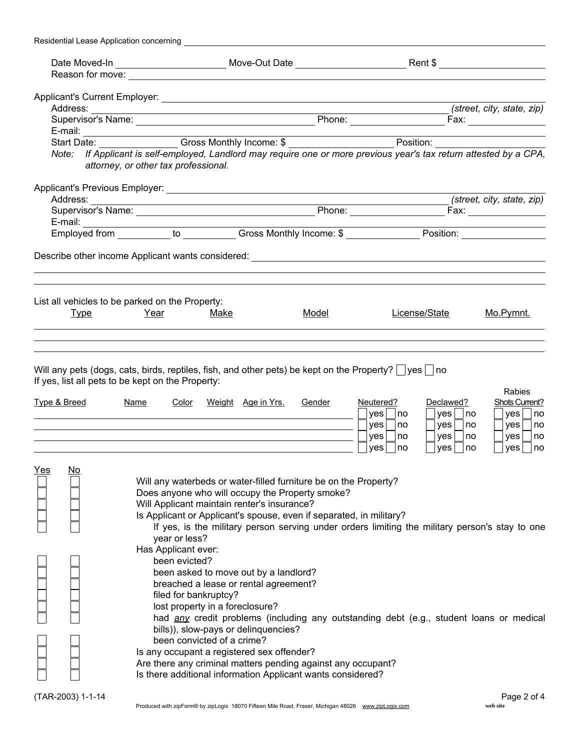| Residential Lease Application concerning |                                                                                                                                                                                                                                                                                                                                                                                                                                                                                                                                                                                                                                                                                                     |                                     |                                                                                                                                                                                           |                                                                                                                   |
|------------------------------------------|-----------------------------------------------------------------------------------------------------------------------------------------------------------------------------------------------------------------------------------------------------------------------------------------------------------------------------------------------------------------------------------------------------------------------------------------------------------------------------------------------------------------------------------------------------------------------------------------------------------------------------------------------------------------------------------------------------|-------------------------------------|-------------------------------------------------------------------------------------------------------------------------------------------------------------------------------------------|-------------------------------------------------------------------------------------------------------------------|
|                                          |                                                                                                                                                                                                                                                                                                                                                                                                                                                                                                                                                                                                                                                                                                     |                                     |                                                                                                                                                                                           |                                                                                                                   |
|                                          |                                                                                                                                                                                                                                                                                                                                                                                                                                                                                                                                                                                                                                                                                                     |                                     |                                                                                                                                                                                           |                                                                                                                   |
|                                          |                                                                                                                                                                                                                                                                                                                                                                                                                                                                                                                                                                                                                                                                                                     |                                     |                                                                                                                                                                                           |                                                                                                                   |
|                                          |                                                                                                                                                                                                                                                                                                                                                                                                                                                                                                                                                                                                                                                                                                     |                                     |                                                                                                                                                                                           | (street, city, state, zip)                                                                                        |
|                                          |                                                                                                                                                                                                                                                                                                                                                                                                                                                                                                                                                                                                                                                                                                     |                                     |                                                                                                                                                                                           |                                                                                                                   |
|                                          |                                                                                                                                                                                                                                                                                                                                                                                                                                                                                                                                                                                                                                                                                                     |                                     |                                                                                                                                                                                           |                                                                                                                   |
|                                          |                                                                                                                                                                                                                                                                                                                                                                                                                                                                                                                                                                                                                                                                                                     |                                     |                                                                                                                                                                                           |                                                                                                                   |
|                                          | Note: If Applicant is self-employed, Landlord may require one or more previous year's tax return attested by a CPA,                                                                                                                                                                                                                                                                                                                                                                                                                                                                                                                                                                                 |                                     |                                                                                                                                                                                           |                                                                                                                   |
|                                          | attorney, or other tax professional.                                                                                                                                                                                                                                                                                                                                                                                                                                                                                                                                                                                                                                                                |                                     |                                                                                                                                                                                           |                                                                                                                   |
|                                          |                                                                                                                                                                                                                                                                                                                                                                                                                                                                                                                                                                                                                                                                                                     |                                     |                                                                                                                                                                                           |                                                                                                                   |
|                                          |                                                                                                                                                                                                                                                                                                                                                                                                                                                                                                                                                                                                                                                                                                     |                                     |                                                                                                                                                                                           | (street, city, state, zip)                                                                                        |
|                                          |                                                                                                                                                                                                                                                                                                                                                                                                                                                                                                                                                                                                                                                                                                     |                                     |                                                                                                                                                                                           |                                                                                                                   |
|                                          |                                                                                                                                                                                                                                                                                                                                                                                                                                                                                                                                                                                                                                                                                                     |                                     |                                                                                                                                                                                           |                                                                                                                   |
|                                          |                                                                                                                                                                                                                                                                                                                                                                                                                                                                                                                                                                                                                                                                                                     |                                     |                                                                                                                                                                                           |                                                                                                                   |
|                                          |                                                                                                                                                                                                                                                                                                                                                                                                                                                                                                                                                                                                                                                                                                     |                                     |                                                                                                                                                                                           |                                                                                                                   |
|                                          |                                                                                                                                                                                                                                                                                                                                                                                                                                                                                                                                                                                                                                                                                                     |                                     |                                                                                                                                                                                           |                                                                                                                   |
|                                          |                                                                                                                                                                                                                                                                                                                                                                                                                                                                                                                                                                                                                                                                                                     |                                     |                                                                                                                                                                                           |                                                                                                                   |
|                                          | List all vehicles to be parked on the Property:                                                                                                                                                                                                                                                                                                                                                                                                                                                                                                                                                                                                                                                     |                                     |                                                                                                                                                                                           |                                                                                                                   |
| <u>Type</u>                              | Year<br>Make                                                                                                                                                                                                                                                                                                                                                                                                                                                                                                                                                                                                                                                                                        | <u>Model</u>                        | License/State                                                                                                                                                                             | Mo.Pymnt.                                                                                                         |
|                                          |                                                                                                                                                                                                                                                                                                                                                                                                                                                                                                                                                                                                                                                                                                     |                                     |                                                                                                                                                                                           |                                                                                                                   |
| <u>Type &amp; Breed</u>                  | Will any pets (dogs, cats, birds, reptiles, fish, and other pets) be kept on the Property? $ $ yes $ $ no<br>If yes, list all pets to be kept on the Property:<br><b>Name</b><br>Color                                                                                                                                                                                                                                                                                                                                                                                                                                                                                                              | Gender<br><u>Weight Age in Yrs.</u> | Declawed?<br>Neutered?<br>yes<br>yes<br>∣no<br>yes<br>  no<br>yes<br>$yes \mid$<br>  no<br>yes<br>ves<br>yes<br>no                                                                        | Rabies<br><b>Shots Current?</b><br>yes <br>no<br> no<br>no<br>yes <br>no<br>no<br>yes <br>no<br>yes <br>no<br>∣no |
| <u>Yes</u><br>$\underline{\mathsf{No}}$  | Will any waterbeds or water-filled furniture be on the Property?<br>Does anyone who will occupy the Property smoke?<br>Will Applicant maintain renter's insurance?<br>Is Applicant or Applicant's spouse, even if separated, in military?<br>year or less?<br>Has Applicant ever:<br>been evicted?<br>been asked to move out by a landlord?<br>breached a lease or rental agreement?<br>filed for bankruptcy?<br>lost property in a foreclosure?<br>bills)), slow-pays or delinquencies?<br>been convicted of a crime?<br>Is any occupant a registered sex offender?<br>Are there any criminal matters pending against any occupant?<br>Is there additional information Applicant wants considered? |                                     | If yes, is the military person serving under orders limiting the military person's stay to one<br>had any credit problems (including any outstanding debt (e.g., student loans or medical |                                                                                                                   |
| (TAR-2003) 1-1-14                        | Produced with zipForm® by zipLogix 18070 Fifteen Mile Road, Fraser, Michigan 48026 www.zipLogix.com                                                                                                                                                                                                                                                                                                                                                                                                                                                                                                                                                                                                 |                                     |                                                                                                                                                                                           | Page 2 of 4<br>web site                                                                                           |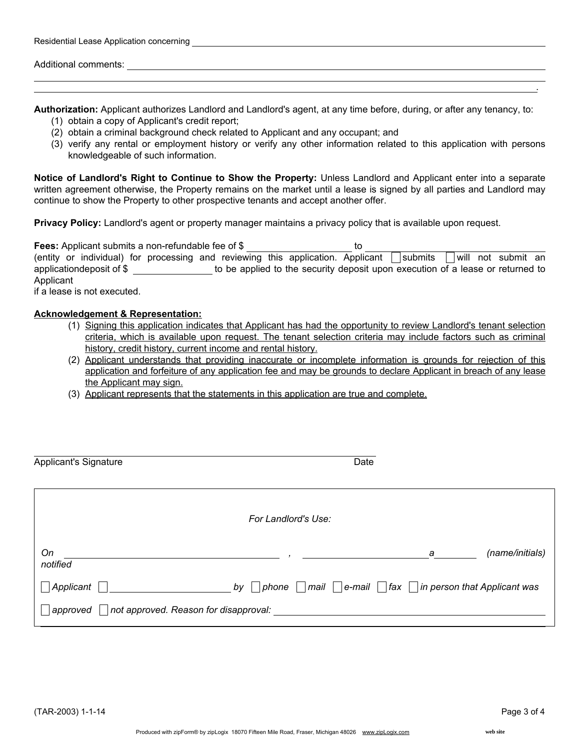| Additional comments: |  |  |
|----------------------|--|--|
|                      |  |  |

Authorization: Applicant authorizes Landlord and Landlord's agent, at any time before, during, or after any tenancy, to:

- (1) obtain a copy of Applicant's credit report;
- (2) obtain a criminal background check related to Applicant and any occupant; and

Residential Lease Application concerning **Concerning** Constant and Constanting Constanting Constanting Constanting Constanting Constanting Constanting Constanting Constanting Constanting Constanting Constanting Constanting

(3) verify any rental or employment history or verify any other information related to this application with persons knowledgeable of such information.

Notice of Landlord's Right to Continue to Show the Property: Unless Landlord and Applicant enter into a separate written agreement otherwise, the Property remains on the market until a lease is signed by all parties and Landlord may continue to show the Property to other prospective tenants and accept another offer.

Privacy Policy: Landlord's agent or property manager maintains a privacy policy that is available upon request.

| <b>Fees:</b> Applicant submits a non-refundable fee of \$                       | το                                                                             |
|---------------------------------------------------------------------------------|--------------------------------------------------------------------------------|
| (entity or individual) for processing and reviewing this application. Applicant | will not submit an<br>submits                                                  |
| applicationdeposit of \$                                                        | to be applied to the security deposit upon execution of a lease or returned to |
| Applicant                                                                       |                                                                                |
| if a logeo is not every ited.                                                   |                                                                                |

if a lease is not executed.

## Acknowledgement & Representation:

- (1) Signing this application indicates that Applicant has had the opportunity to review Landlord's tenant selection criteria, which is available upon request. The tenant selection criteria may include factors such as criminal history, credit history, current income and rental history.
- (2) Applicant understands that providing inaccurate or incomplete information is grounds for rejection of this application and forfeiture of any application fee and may be grounds to declare Applicant in breach of any lease the Applicant may sign.
- (3) Applicant represents that the statements in this application are true and complete.

| <b>Applicant's Signature</b> |                                       | Date                                                           |                 |
|------------------------------|---------------------------------------|----------------------------------------------------------------|-----------------|
|                              | For Landlord's Use:                   |                                                                |                 |
| On<br>notified               |                                       | а                                                              | (name/initials) |
| Applicant                    | by<br>phone                           | mail   $ e$ -mail   $ $ fax   $ $ in person that Applicant was |                 |
| approved                     | not approved. Reason for disapproval: |                                                                |                 |

.